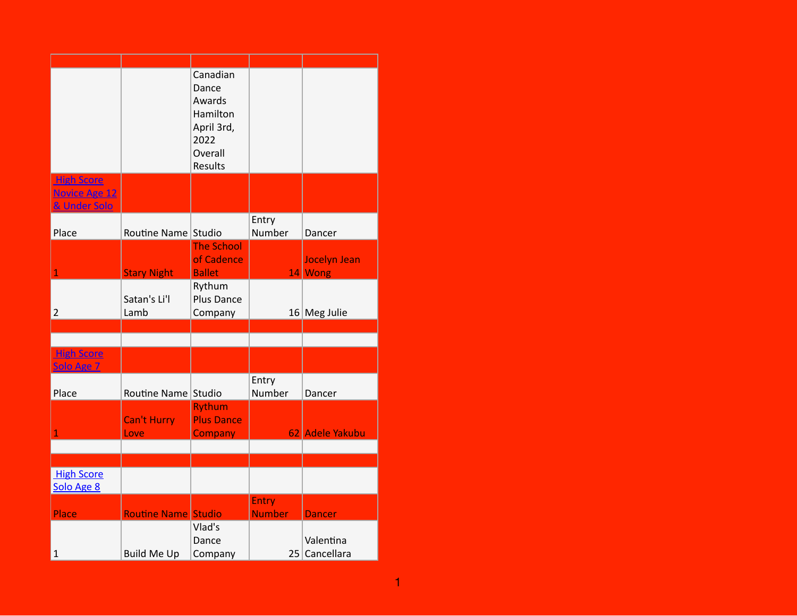|                                                           |                            | Canadian<br>Dance<br>Awards<br>Hamilton<br>April 3rd,<br>2022<br>Overall<br>Results |                        |                                |
|-----------------------------------------------------------|----------------------------|-------------------------------------------------------------------------------------|------------------------|--------------------------------|
| <b>High Score</b><br><b>Novice Age 12</b><br>& Under Solo |                            |                                                                                     |                        |                                |
| Place                                                     | Routine Name Studio        |                                                                                     | Entry<br>Number        | Dancer                         |
| $\overline{1}$                                            | <b>Stary Night</b>         | <b>The School</b><br>of Cadence<br><b>Ballet</b>                                    |                        | <b>Jocelyn Jean</b><br>14 Wong |
| $\overline{2}$                                            | Satan's Li'l<br>Lamb       | Rythum<br>Plus Dance<br>Company                                                     |                        | $16$ Meg Julie                 |
|                                                           |                            |                                                                                     |                        |                                |
| <b>High Score</b><br>Solo Age 7                           |                            |                                                                                     |                        |                                |
| Place                                                     | Routine Name Studio        |                                                                                     | Entry<br>Number        | Dancer                         |
| $\overline{1}$                                            | <b>Can't Hurry</b><br>Love | <b>Rythum</b><br><b>Plus Dance</b><br>Company                                       |                        | 62 Adele Yakubu                |
|                                                           |                            |                                                                                     |                        |                                |
| <b>High Score</b><br>Solo Age 8                           |                            |                                                                                     |                        |                                |
| Place                                                     | Routine Name Studio        |                                                                                     | Entry<br><b>Number</b> | <b>Dancer</b>                  |
| $\mathbf 1$                                               | <b>Build Me Up</b>         | Vlad's<br>Dance<br>Company                                                          |                        | Valentina<br>25 Cancellara     |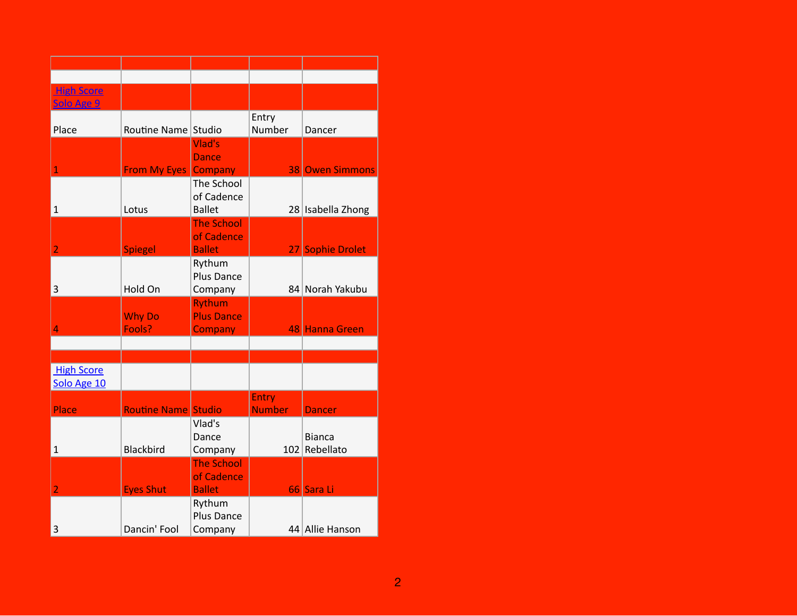| <b>High Score</b> |                             |                   |               |                        |
|-------------------|-----------------------------|-------------------|---------------|------------------------|
| Solo Age 9        |                             |                   |               |                        |
|                   |                             |                   | Entry         |                        |
| Place             | Routine Name Studio         |                   | Number        | Dancer                 |
|                   |                             | Vlad's            |               |                        |
|                   |                             | <b>Dance</b>      |               |                        |
| $\overline{1}$    | <b>From My Eyes Company</b> |                   |               | <b>38 Owen Simmons</b> |
|                   |                             | The School        |               |                        |
|                   |                             | of Cadence        |               |                        |
| $\mathbf 1$       | Lotus                       | <b>Ballet</b>     |               |                        |
|                   |                             | <b>The School</b> |               | 28 Isabella Zhong      |
|                   |                             |                   |               |                        |
|                   |                             | of Cadence        |               |                        |
| $\overline{a}$    | <b>Spiegel</b>              | <b>Ballet</b>     |               | 27 Sophie Drolet       |
|                   |                             | Rythum            |               |                        |
|                   |                             | Plus Dance        |               |                        |
| 3                 | Hold On                     | Company           |               | 84 Norah Yakubu        |
|                   |                             | <b>Rythum</b>     |               |                        |
|                   | <b>Why Do</b>               | <b>Plus Dance</b> |               |                        |
| $\overline{4}$    | Fools?                      | <b>Company</b>    |               | 48 Hanna Green         |
|                   |                             |                   |               |                        |
|                   |                             |                   |               |                        |
| <b>High Score</b> |                             |                   |               |                        |
| Solo Age 10       |                             |                   |               |                        |
|                   |                             |                   | Entry         |                        |
| Place             | <b>Routine Name Studio</b>  |                   | <b>Number</b> | <b>Dancer</b>          |
|                   |                             | Vlad's            |               |                        |
|                   |                             | Dance             |               | <b>Bianca</b>          |
| $\mathbf{1}$      | <b>Blackbird</b>            | Company           |               | 102 Rebellato          |
|                   |                             | <b>The School</b> |               |                        |
|                   |                             | of Cadence        |               |                        |
| $\overline{2}$    | <b>Eyes Shut</b>            | <b>Ballet</b>     |               | 66 Sara Li             |
|                   |                             | Rythum            |               |                        |
|                   |                             | Plus Dance        |               |                        |
| 3                 | Dancin' Fool                | Company           |               | 44 Allie Hanson        |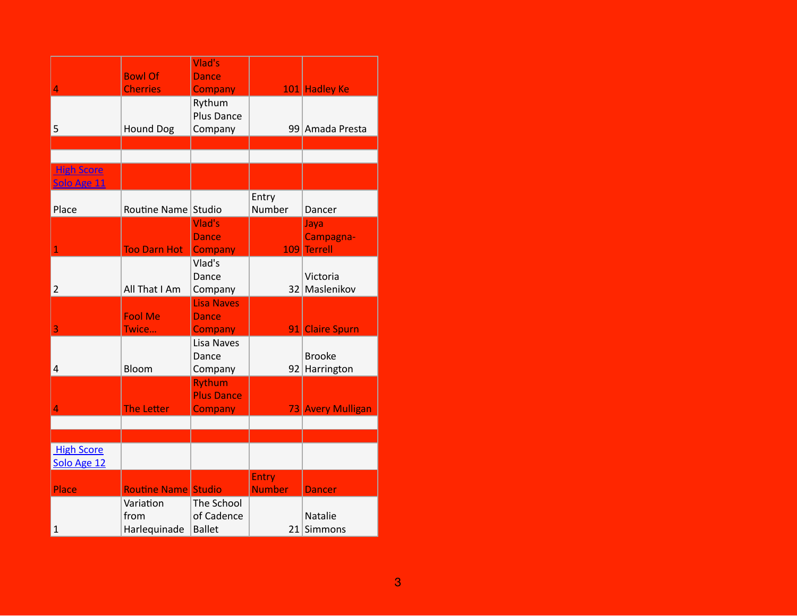|                                  | <b>Bowl Of</b>                    | Vlad's<br><b>Dance</b>                              |                        |                                     |
|----------------------------------|-----------------------------------|-----------------------------------------------------|------------------------|-------------------------------------|
| 4                                | <b>Cherries</b>                   | <b>Company</b>                                      |                        | 101 Hadley Ke                       |
| 5                                | <b>Hound Dog</b>                  | Rythum<br><b>Plus Dance</b><br>Company              |                        | 99 Amada Presta                     |
|                                  |                                   |                                                     |                        |                                     |
| <b>High Score</b><br>Solo Age 11 |                                   |                                                     |                        |                                     |
| Place                            | Routine Name Studio               |                                                     | Entry<br>Number        | Dancer                              |
| $\overline{1}$                   | <b>Too Darn Hot</b>               | Vlad's<br><b>Dance</b><br>Company                   | 109                    | Jaya<br>Campagna-<br><b>Terrell</b> |
| $\overline{2}$                   | All That I Am                     | Vlad's<br>Dance<br>Company                          |                        | Victoria<br>32 Maslenikov           |
| 3                                | <b>Fool Me</b><br>Twice           | <b>Lisa Naves</b><br><b>Dance</b><br><b>Company</b> |                        | 91 Claire Spurn                     |
| 4                                | Bloom                             | Lisa Naves<br>Dance<br>Company                      |                        | <b>Brooke</b><br>92 Harrington      |
| 4                                | The Letter                        | <b>Rythum</b><br><b>Plus Dance</b><br>Company       |                        | 73 Avery Mulligan                   |
|                                  |                                   |                                                     |                        |                                     |
| <b>High Score</b><br>Solo Age 12 |                                   |                                                     |                        |                                     |
| Place                            | <b>Routine Name Studio</b>        |                                                     | Entry<br><b>Number</b> | <b>Dancer</b>                       |
| $\mathbf{1}$                     | Variation<br>from<br>Harlequinade | The School<br>of Cadence<br><b>Ballet</b>           |                        | Natalie<br>21 Simmons               |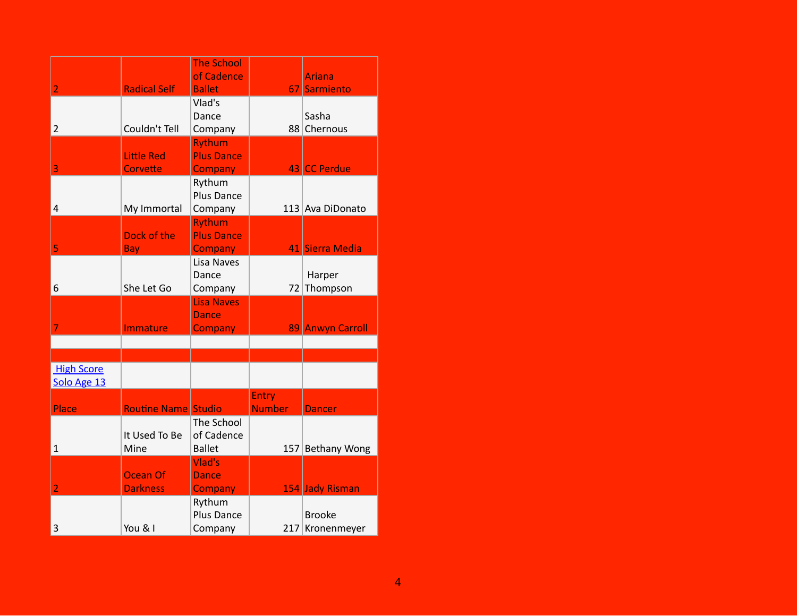| $\overline{2}$                   | <b>Radical Self</b>           | <b>The School</b><br>of Cadence<br><b>Ballet</b>    |                               | <b>Ariana</b><br>67 Sarmiento    |
|----------------------------------|-------------------------------|-----------------------------------------------------|-------------------------------|----------------------------------|
| $\overline{2}$                   | Couldn't Tell                 | Vlad's<br>Dance<br>Company                          |                               | Sasha<br>88 Chernous             |
| 3                                | <b>Little Red</b><br>Corvette | <b>Rythum</b><br><b>Plus Dance</b><br>Company       |                               | 43 CC Perdue                     |
| 4                                | My Immortal                   | Rythum<br><b>Plus Dance</b><br>Company              |                               | 113 Ava DiDonato                 |
| 5                                | Dock of the<br><b>Bay</b>     | <b>Rythum</b><br><b>Plus Dance</b><br>Company       |                               | 41 Sierra Media                  |
| 6                                | She Let Go                    | Lisa Naves<br>Dance<br>Company                      |                               | Harper<br>72 Thompson            |
| 7                                | Immature                      | <b>Lisa Naves</b><br><b>Dance</b><br><b>Company</b> |                               | 89 Anwyn Carroll                 |
|                                  |                               |                                                     |                               |                                  |
| <b>High Score</b><br>Solo Age 13 |                               |                                                     |                               |                                  |
| Place                            | <b>Routine Name Studio</b>    |                                                     | <b>Entry</b><br><b>Number</b> | <b>Dancer</b>                    |
| $\mathbf{1}$                     | It Used To Be<br>Mine         | The School<br>of Cadence<br><b>Ballet</b>           |                               | 157 Bethany Wong                 |
| $\overline{2}$                   | Ocean Of<br><b>Darkness</b>   | Vlad's<br><b>Dance</b><br>Company                   |                               | 154 Jady Risman                  |
| 3                                | You & I                       | Rythum<br>Plus Dance<br>Company                     |                               | <b>Brooke</b><br>217 Kronenmeyer |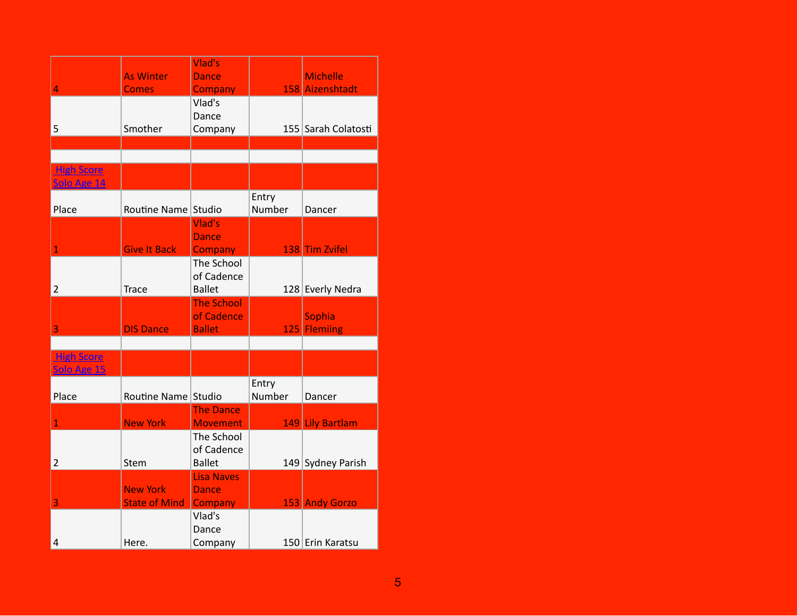|                   | <b>As Winter</b>     | Vlad's<br><b>Dance</b>              |                 | <b>Michelle</b>     |
|-------------------|----------------------|-------------------------------------|-----------------|---------------------|
| 4                 | <b>Comes</b>         | <b>Company</b>                      |                 | 158 Aizenshtadt     |
|                   |                      | Vlad's                              |                 |                     |
|                   |                      | Dance                               |                 |                     |
| 5                 | Smother              | Company                             |                 | 155 Sarah Colatosti |
|                   |                      |                                     |                 |                     |
| <b>High Score</b> |                      |                                     |                 |                     |
| Solo Age 14       |                      |                                     |                 |                     |
| Place             | Routine Name Studio  |                                     | Entry<br>Number | Dancer              |
|                   |                      | Vlad's                              |                 |                     |
|                   |                      | <b>Dance</b>                        |                 |                     |
| $\mathbf{1}$      | <b>Give It Back</b>  | <b>Company</b>                      |                 | 138 Tim Zvifel      |
|                   |                      | The School<br>of Cadence            |                 |                     |
| $\overline{2}$    | <b>Trace</b>         | <b>Ballet</b>                       |                 | 128 Everly Nedra    |
|                   |                      | <b>The School</b>                   |                 |                     |
|                   |                      | of Cadence                          |                 | Sophia              |
| 3                 | <b>DIS Dance</b>     | <b>Ballet</b>                       |                 | 125 Flemiing        |
| <b>High Score</b> |                      |                                     |                 |                     |
| Solo Age 15       |                      |                                     |                 |                     |
|                   |                      |                                     | Entry           |                     |
| Place             | Routine Name Studio  |                                     | Number          | Dancer              |
| $\mathbf{1}$      | <b>New York</b>      | <b>The Dance</b><br><b>Movement</b> |                 | 149 Lily Bartlam    |
|                   |                      | The School                          |                 |                     |
|                   |                      | of Cadence                          |                 |                     |
| $\overline{2}$    | Stem                 | <b>Ballet</b>                       |                 | 149 Sydney Parish   |
|                   | <b>New York</b>      | <b>Lisa Naves</b><br><b>Dance</b>   |                 |                     |
| 3                 | <b>State of Mind</b> | Company                             |                 | 153 Andy Gorzo      |
|                   |                      | Vlad's                              |                 |                     |
|                   |                      | Dance                               |                 |                     |
| 4                 | Here.                | Company                             |                 | 150 Erin Karatsu    |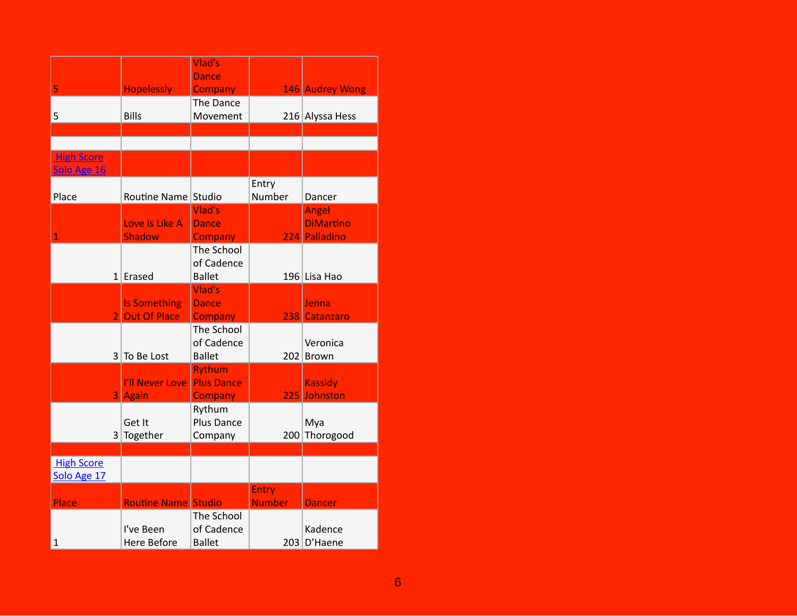|                                  |                            | Vlad's            |               |                  |
|----------------------------------|----------------------------|-------------------|---------------|------------------|
|                                  |                            | <b>Dance</b>      |               |                  |
| 5                                | <b>Hopelessly</b>          | <b>Company</b>    |               | 146 Audrey Wong  |
|                                  |                            | The Dance         |               |                  |
| 5                                | <b>Bills</b>               | Movement          |               | 216 Alyssa Hess  |
|                                  |                            |                   |               |                  |
|                                  |                            |                   |               |                  |
| <b>High Score</b><br>Solo Age 16 |                            |                   |               |                  |
|                                  |                            |                   | Entry         |                  |
| Place                            | Routine Name Studio        |                   | Number        | Dancer           |
|                                  |                            | Vlad's            |               | <b>Angel</b>     |
|                                  | Love is Like A             | <b>Dance</b>      |               | <b>DiMartino</b> |
| 1                                | <b>Shadow</b>              | <b>Company</b>    |               | 224 Palladino    |
|                                  |                            | The School        |               |                  |
|                                  |                            | of Cadence        |               |                  |
|                                  | $1$ Erased                 | <b>Ballet</b>     |               | 196 Lisa Hao     |
|                                  |                            | Vlad's            |               |                  |
|                                  | <b>Is Something</b>        | <b>Dance</b>      |               | Jenna            |
| $\overline{2}$                   | <b>Out Of Place</b>        | <b>Company</b>    |               | 238 Catanzaro    |
|                                  |                            | The School        |               |                  |
|                                  |                            | of Cadence        |               | Veronica         |
|                                  | $3$ To Be Lost             | <b>Ballet</b>     |               | 202 Brown        |
|                                  |                            | <b>Rythum</b>     |               |                  |
|                                  | I'll Never Love            | <b>Plus Dance</b> |               | <b>Kassidy</b>   |
|                                  | 3 Again                    | Company           |               | 225 Johnston     |
|                                  |                            | Rythum            |               |                  |
|                                  | Get It                     | Plus Dance        |               | Mya              |
|                                  | $3$ Together               | Company           | 200           | Thorogood        |
|                                  |                            |                   |               |                  |
| <b>High Score</b><br>Solo Age 17 |                            |                   |               |                  |
|                                  |                            |                   | Entry         |                  |
| Place                            | <b>Routine Name Studio</b> |                   | <b>Number</b> | <b>Dancer</b>    |
|                                  |                            | The School        |               |                  |
|                                  | I've Been                  | of Cadence        |               | Kadence          |
| 1                                | <b>Here Before</b>         | <b>Ballet</b>     |               | 203 D'Haene      |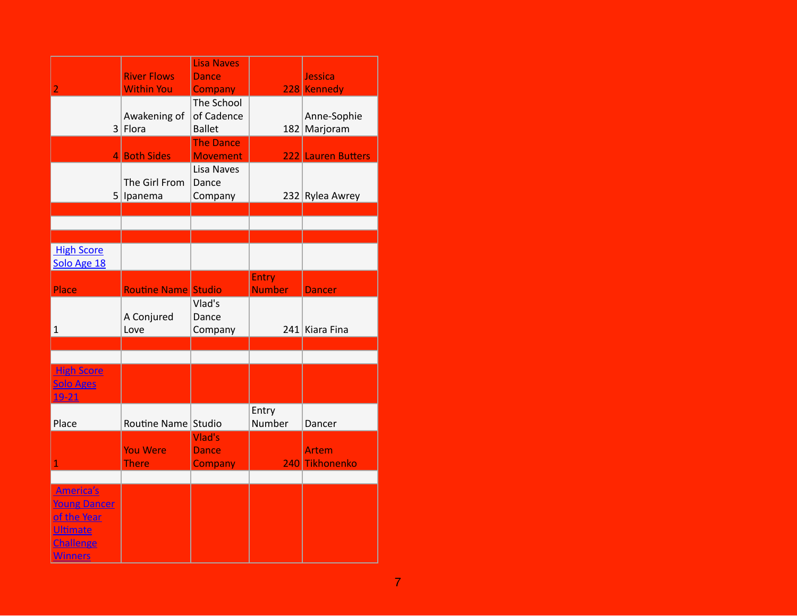| $\overline{2}$                                                                                    | <b>River Flows</b><br><b>Within You</b> | <b>Lisa Naves</b><br>Dance<br><b>Company</b> |                               | Jessica<br>228 Kennedy      |
|---------------------------------------------------------------------------------------------------|-----------------------------------------|----------------------------------------------|-------------------------------|-----------------------------|
|                                                                                                   | Awakening of<br>$3$ Flora               | The School<br>of Cadence<br><b>Ballet</b>    |                               | Anne-Sophie<br>182 Marjoram |
|                                                                                                   | 4 Both Sides                            | <b>The Dance</b><br><b>Movement</b>          |                               | 222 Lauren Butters          |
|                                                                                                   | The Girl From<br>5 Ipanema              | Lisa Naves<br>Dance<br>Company               |                               | 232 Rylea Awrey             |
|                                                                                                   |                                         |                                              |                               |                             |
|                                                                                                   |                                         |                                              |                               |                             |
| <b>High Score</b><br>Solo Age 18                                                                  |                                         |                                              |                               |                             |
| Place                                                                                             | <b>Routine Name Studio</b>              |                                              | <b>Entry</b><br><b>Number</b> | <b>Dancer</b>               |
| $\mathbf{1}$                                                                                      | A Conjured<br>Love                      | Vlad's<br>Dance<br>Company                   |                               | 241 Kiara Fina              |
|                                                                                                   |                                         |                                              |                               |                             |
| <b>High Score</b><br><b>Solo Ages</b><br>$19 - 21$                                                |                                         |                                              |                               |                             |
| Place                                                                                             | Routine Name Studio                     |                                              | Entry<br>Number               | Dancer                      |
| $\overline{1}$                                                                                    | <b>You Were</b><br><b>There</b>         | Vlad's<br><b>Dance</b><br><b>Company</b>     |                               | Artem<br>240 Tikhonenko     |
|                                                                                                   |                                         |                                              |                               |                             |
| America's<br><b>Young Dancer</b><br>of the Year<br><b>Ultimate</b><br>Challenge<br><b>Winners</b> |                                         |                                              |                               |                             |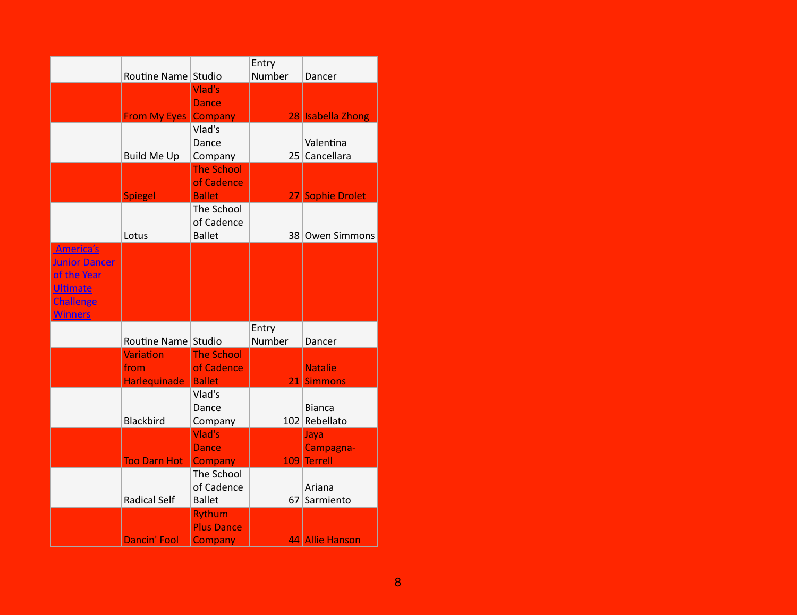|                      |                     |                          | Entry  |                   |
|----------------------|---------------------|--------------------------|--------|-------------------|
|                      | Routine Name Studio |                          | Number | Dancer            |
|                      |                     | Vlad's                   |        |                   |
|                      |                     | <b>Dance</b>             |        |                   |
|                      | <b>From My Eyes</b> | Company                  |        | 28 Isabella Zhong |
|                      |                     | Vlad's                   |        |                   |
|                      |                     | Dance                    |        | Valentina         |
|                      | <b>Build Me Up</b>  | Company                  |        | 25 Cancellara     |
|                      |                     | <b>The School</b>        |        |                   |
|                      |                     | of Cadence               |        |                   |
|                      | <b>Spiegel</b>      | <b>Ballet</b>            |        | 27 Sophie Drolet  |
|                      |                     | The School<br>of Cadence |        |                   |
|                      | Lotus               | <b>Ballet</b>            |        | 38 Owen Simmons   |
| <b>America's</b>     |                     |                          |        |                   |
| <b>Junior Dancer</b> |                     |                          |        |                   |
| of the Year          |                     |                          |        |                   |
| <b>Ultimate</b>      |                     |                          |        |                   |
| <b>Challenge</b>     |                     |                          |        |                   |
| <b>Winners</b>       |                     |                          |        |                   |
|                      |                     |                          | Entry  |                   |
|                      | Routine Name Studio |                          | Number | Dancer            |
|                      | <b>Variation</b>    | <b>The School</b>        |        |                   |
|                      | from                | of Cadence               |        | <b>Natalie</b>    |
|                      | Harlequinade        | <b>Ballet</b>            | 21     | <b>Simmons</b>    |
|                      |                     | Vlad's                   |        |                   |
|                      |                     | Dance                    |        | <b>Bianca</b>     |
|                      | <b>Blackbird</b>    | Company                  |        | 102 Rebellato     |
|                      |                     | Vlad's                   |        | Jaya              |
|                      |                     | <b>Dance</b>             |        | Campagna-         |
|                      | <b>Too Darn Hot</b> | Company                  |        | 109 Terrell       |
|                      |                     | The School               |        |                   |
|                      |                     | of Cadence               |        | Ariana            |
|                      | <b>Radical Self</b> | <b>Ballet</b>            | 67     | Sarmiento         |
|                      |                     | <b>Rythum</b>            |        |                   |
|                      |                     | <b>Plus Dance</b>        |        |                   |
|                      | <b>Dancin' Fool</b> | <b>Company</b>           |        | 44 Allie Hanson   |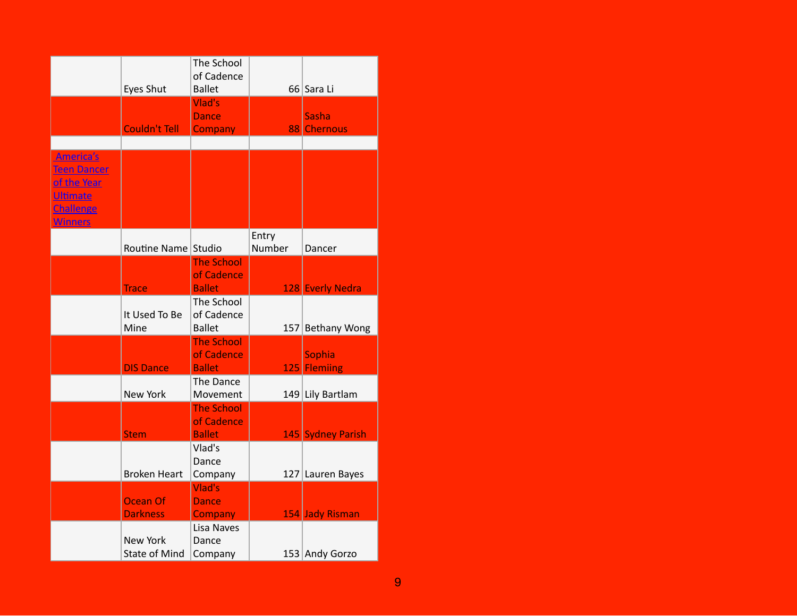|                                                                                                                       | Eyes Shut                               | The School<br>of Cadence<br><b>Ballet</b>        |                 | 66 Sara Li                  |
|-----------------------------------------------------------------------------------------------------------------------|-----------------------------------------|--------------------------------------------------|-----------------|-----------------------------|
|                                                                                                                       | Couldn't Tell                           | Vlad's<br><b>Dance</b><br><b>Company</b>         |                 | <b>Sasha</b><br>88 Chernous |
|                                                                                                                       |                                         |                                                  |                 |                             |
| <b>America's</b><br><b>Teen Dancer</b><br><u>of the Year</u><br><b>Ultimate</b><br><b>Challenge</b><br><b>Winners</b> |                                         |                                                  |                 |                             |
|                                                                                                                       | Routine Name Studio                     |                                                  | Entry<br>Number | Dancer                      |
|                                                                                                                       | <b>Trace</b>                            | <b>The School</b><br>of Cadence<br><b>Ballet</b> |                 | 128 Everly Nedra            |
|                                                                                                                       | It Used To Be<br>Mine                   | The School<br>of Cadence<br><b>Ballet</b>        | 157             | <b>Bethany Wong</b>         |
|                                                                                                                       | <b>DIS Dance</b>                        | <b>The School</b><br>of Cadence<br><b>Ballet</b> | 125             | Sophia<br><b>Flemiing</b>   |
|                                                                                                                       | New York                                | The Dance<br>Movement                            |                 | 149 Lily Bartlam            |
|                                                                                                                       | <b>Stem</b>                             | <b>The School</b><br>of Cadence<br><b>Ballet</b> |                 | 145 Sydney Parish           |
|                                                                                                                       | <b>Broken Heart</b>                     | Vlad's<br>Dance<br>Company                       |                 | 127 Lauren Bayes            |
|                                                                                                                       | Ocean Of<br><b>Darkness</b>             | Vlad's<br>Dance<br><b>Company</b>                |                 | 154 Jady Risman             |
|                                                                                                                       | <b>New York</b><br><b>State of Mind</b> | Lisa Naves<br>Dance<br>Company                   |                 | 153 Andy Gorzo              |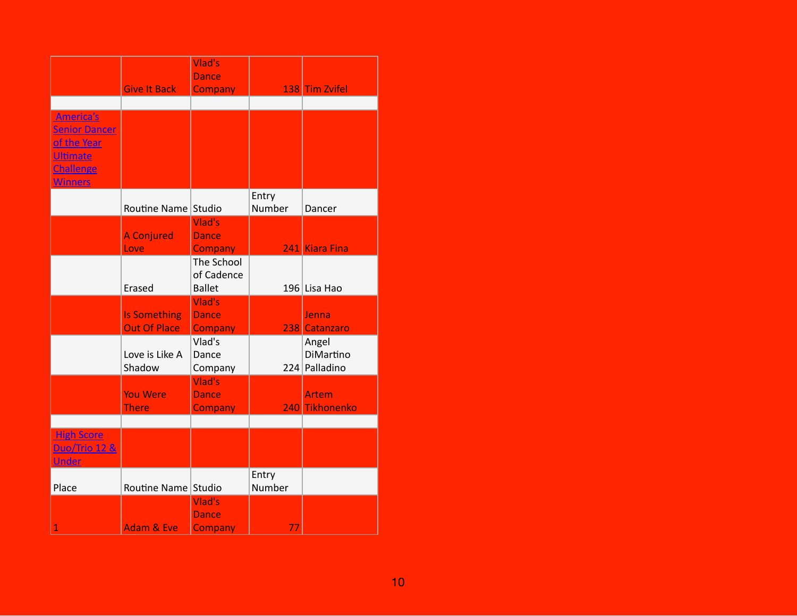|                                                                                                           |                                            | Vlad's                                    |                 |                                     |
|-----------------------------------------------------------------------------------------------------------|--------------------------------------------|-------------------------------------------|-----------------|-------------------------------------|
|                                                                                                           |                                            | <b>Dance</b>                              |                 |                                     |
|                                                                                                           | <b>Give It Back</b>                        | <b>Company</b>                            |                 | 138 Tim Zvifel                      |
|                                                                                                           |                                            |                                           |                 |                                     |
| America's<br><b>Senior Dancer</b><br>of the Year<br><b>Ultimate</b><br><b>Challenge</b><br><b>Winners</b> |                                            |                                           |                 |                                     |
|                                                                                                           | Routine Name Studio                        |                                           | Entry<br>Number | Dancer                              |
|                                                                                                           | <b>A Conjured</b><br>Love                  | Vlad's<br><b>Dance</b><br><b>Company</b>  |                 | 241 Kiara Fina                      |
|                                                                                                           | Erased                                     | The School<br>of Cadence<br><b>Ballet</b> |                 | 196 Lisa Hao                        |
|                                                                                                           | <b>Is Something</b><br><b>Out Of Place</b> | Vlad's<br><b>Dance</b><br><b>Company</b>  |                 | Jenna<br>238 Catanzaro              |
|                                                                                                           | Love is Like A<br>Shadow                   | Vlad's<br>Dance<br>Company                |                 | Angel<br>DiMartino<br>224 Palladino |
|                                                                                                           | <b>You Were</b><br><b>There</b>            | Vlad's<br><b>Dance</b><br><b>Company</b>  |                 | <b>Artem</b><br>240 Tikhonenko      |
|                                                                                                           |                                            |                                           |                 |                                     |
| <b>High Score</b><br><b>Duo/Trio 12 &amp;</b><br><b>Under</b>                                             |                                            |                                           |                 |                                     |
| Place                                                                                                     | Routine Name Studio                        |                                           | Entry<br>Number |                                     |
| $\mathbf{1}$                                                                                              | <b>Adam &amp; Eve</b>                      | Vlad's<br><b>Dance</b><br>Company         | 77              |                                     |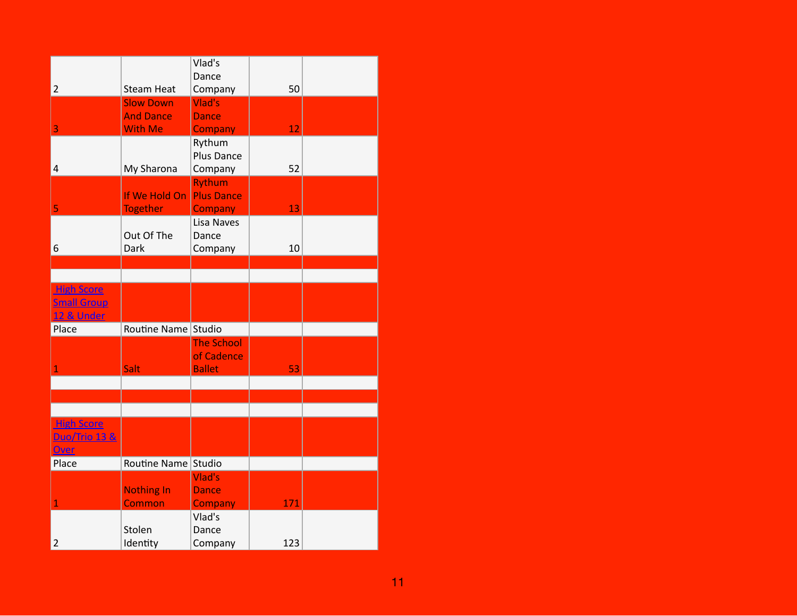|                          |                     | Vlad's<br>Dance   |     |  |
|--------------------------|---------------------|-------------------|-----|--|
| $\mathbf 2$              | <b>Steam Heat</b>   | Company           | 50  |  |
|                          | <b>Slow Down</b>    | Vlad's            |     |  |
|                          | <b>And Dance</b>    | <b>Dance</b>      |     |  |
| 3                        | <b>With Me</b>      | <b>Company</b>    | 12  |  |
|                          |                     | Rythum            |     |  |
|                          |                     | Plus Dance        |     |  |
| 4                        | My Sharona          | Company           | 52  |  |
|                          |                     | <b>Rythum</b>     |     |  |
|                          | If We Hold On       | <b>Plus Dance</b> |     |  |
| 5                        | <b>Together</b>     | <b>Company</b>    | 13  |  |
|                          |                     | Lisa Naves        |     |  |
|                          | Out Of The          | Dance             |     |  |
| 6                        | <b>Dark</b>         | Company           | 10  |  |
|                          |                     |                   |     |  |
|                          |                     |                   |     |  |
| <b>High Score</b>        |                     |                   |     |  |
| <b>Small Group</b>       |                     |                   |     |  |
| <b>12 &amp; Under</b>    |                     |                   |     |  |
| Place                    | Routine Name Studio |                   |     |  |
|                          |                     | <b>The School</b> |     |  |
|                          |                     | of Cadence        |     |  |
| 1                        | Salt                | <b>Ballet</b>     | 53  |  |
|                          |                     |                   |     |  |
|                          |                     |                   |     |  |
|                          |                     |                   |     |  |
| <b>High Score</b>        |                     |                   |     |  |
| <b>Duo/Trio 13 &amp;</b> |                     |                   |     |  |
| <b>Over</b>              |                     |                   |     |  |
| Place                    | Routine Name Studio |                   |     |  |
|                          |                     | Vlad's            |     |  |
|                          | <b>Nothing In</b>   | <b>Dance</b>      |     |  |
| 1                        | <b>Common</b>       | Company           | 171 |  |
|                          |                     | Vlad's            |     |  |
|                          | Stolen              | Dance             |     |  |
|                          |                     |                   | 123 |  |
| $\overline{c}$           | Identity            | Company           |     |  |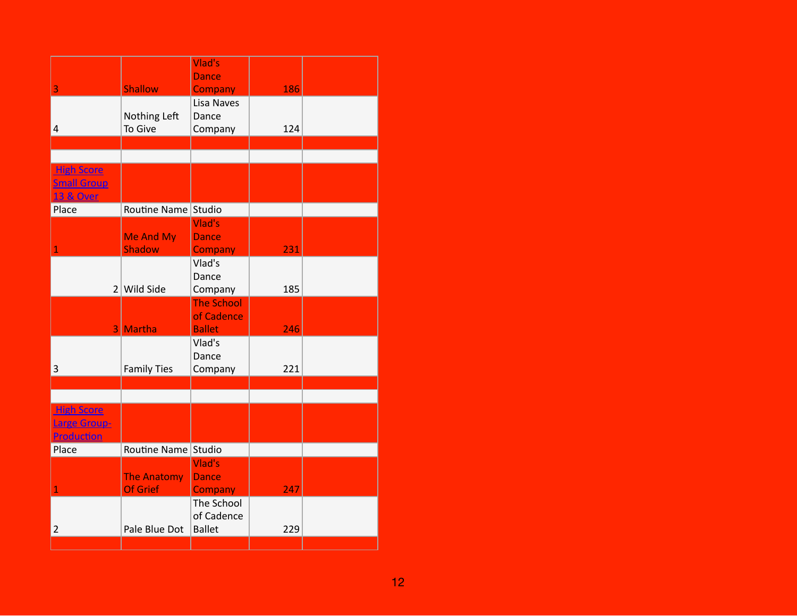|                                                                 |                                       | Vlad's<br><b>Dance</b>                           |     |  |
|-----------------------------------------------------------------|---------------------------------------|--------------------------------------------------|-----|--|
| 3                                                               | <b>Shallow</b>                        | <b>Company</b>                                   | 186 |  |
| 4                                                               | Nothing Left<br>To Give               | Lisa Naves<br>Dance<br>Company                   | 124 |  |
|                                                                 |                                       |                                                  |     |  |
| <b>High Score</b><br><b>Small Group</b><br><b>13 &amp; Over</b> |                                       |                                                  |     |  |
| Place                                                           | Routine Name Studio                   |                                                  |     |  |
| 1                                                               | <b>Me And My</b><br>Shadow            | Vlad's<br><b>Dance</b><br><b>Company</b>         | 231 |  |
|                                                                 | $2$ Wild Side                         | Vlad's<br>Dance<br>Company                       | 185 |  |
|                                                                 | 3 Martha                              | <b>The School</b><br>of Cadence<br><b>Ballet</b> | 246 |  |
| 3                                                               | <b>Family Ties</b>                    | Vlad's<br>Dance<br>Company                       | 221 |  |
|                                                                 |                                       |                                                  |     |  |
| <b>High Score</b><br><b>Large Group-</b><br>Production          |                                       |                                                  |     |  |
| Place                                                           | Routine Name Studio                   |                                                  |     |  |
| $\mathbf{1}$                                                    | <b>The Anatomy</b><br><b>Of Grief</b> | Vlad's<br><b>Dance</b><br><b>Company</b>         | 247 |  |
| $\overline{2}$                                                  | Pale Blue Dot                         | The School<br>of Cadence<br><b>Ballet</b>        | 229 |  |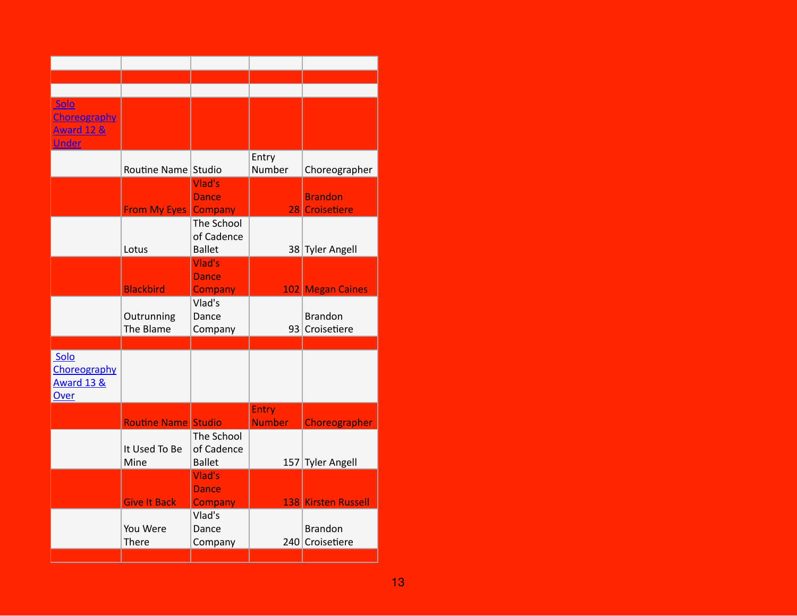| Solo<br>Choreography<br><b>Award 12 &amp;</b><br><b>Under</b> |                             |                                           |                               |                                   |
|---------------------------------------------------------------|-----------------------------|-------------------------------------------|-------------------------------|-----------------------------------|
|                                                               | Routine Name Studio         |                                           | Entry<br>Number               | Choreographer                     |
|                                                               | <b>From My Eyes Company</b> | Vlad's<br><b>Dance</b>                    |                               | <b>Brandon</b><br>28 Croisetiere  |
|                                                               | Lotus                       | The School<br>of Cadence<br><b>Ballet</b> |                               | 38 Tyler Angell                   |
|                                                               | <b>Blackbird</b>            | Vlad's<br><b>Dance</b><br><b>Company</b>  |                               | 102 Megan Caines                  |
|                                                               | Outrunning<br>The Blame     | Vlad's<br>Dance<br>Company                |                               | <b>Brandon</b><br>93 Croisetiere  |
|                                                               |                             |                                           |                               |                                   |
| Solo<br>Choreography<br><b>Award 13 &amp;</b><br>Over         |                             |                                           |                               |                                   |
|                                                               | <b>Routine Name Studio</b>  |                                           | <b>Entry</b><br><b>Number</b> | Choreographer                     |
|                                                               | It Used To Be<br>Mine       | The School<br>of Cadence<br><b>Ballet</b> |                               | 157 Tyler Angell                  |
|                                                               | <b>Give It Back</b>         | Vlad's<br><b>Dance</b><br>Company         |                               | 138 Kirsten Russell               |
|                                                               | You Were<br>There           | Vlad's<br>Dance<br>Company                |                               | <b>Brandon</b><br>240 Croisetiere |
|                                                               |                             |                                           |                               |                                   |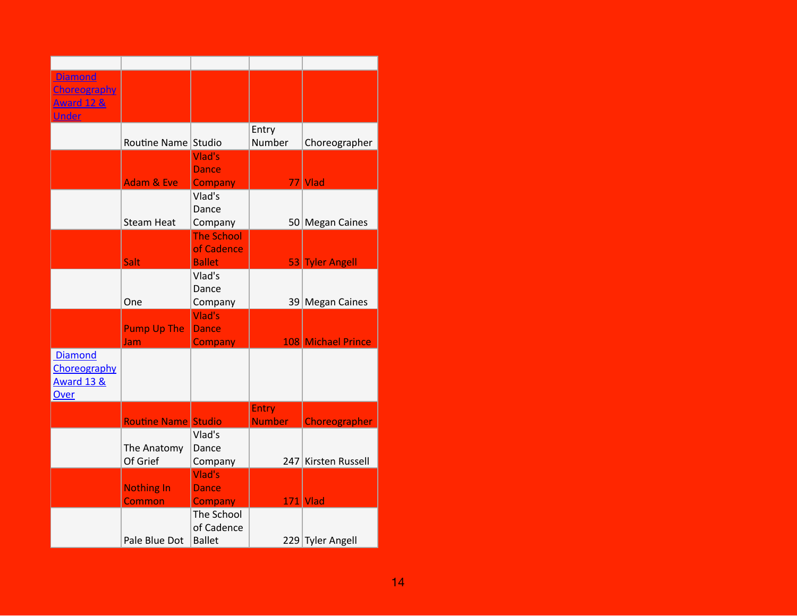| <b>Diamond</b><br>Choreography<br><b>Award 12 &amp;</b><br><b>Under</b> |                             |                                                  |                               |                     |
|-------------------------------------------------------------------------|-----------------------------|--------------------------------------------------|-------------------------------|---------------------|
|                                                                         | Routine Name Studio         |                                                  | Entry<br>Number               | Choreographer       |
|                                                                         | <b>Adam &amp; Eve</b>       | Vlad's<br><b>Dance</b><br><b>Company</b>         |                               | 77 Vlad             |
|                                                                         | <b>Steam Heat</b>           | Vlad's<br>Dance<br>Company                       |                               | 50 Megan Caines     |
|                                                                         | <b>Salt</b>                 | <b>The School</b><br>of Cadence<br><b>Ballet</b> |                               | 53 Tyler Angell     |
|                                                                         | One                         | Vlad's<br>Dance<br>Company                       |                               | 39 Megan Caines     |
|                                                                         | <b>Pump Up The</b><br>Jam   | Vlad's<br><b>Dance</b><br><b>Company</b>         |                               | 108 Michael Prince  |
| <b>Diamond</b><br>Choreography<br><b>Award 13 &amp;</b><br>Over         |                             |                                                  |                               |                     |
|                                                                         | <b>Routine Name Studio</b>  |                                                  | <b>Entry</b><br><b>Number</b> | Choreographer       |
|                                                                         | The Anatomy<br>Of Grief     | Vlad's<br>Dance<br>Company                       |                               | 247 Kirsten Russell |
|                                                                         | <b>Nothing In</b><br>Common | Vlad's<br><b>Dance</b><br>Company                |                               | <b>171 Vlad</b>     |
|                                                                         | Pale Blue Dot               | The School<br>of Cadence<br><b>Ballet</b>        |                               | 229 Tyler Angell    |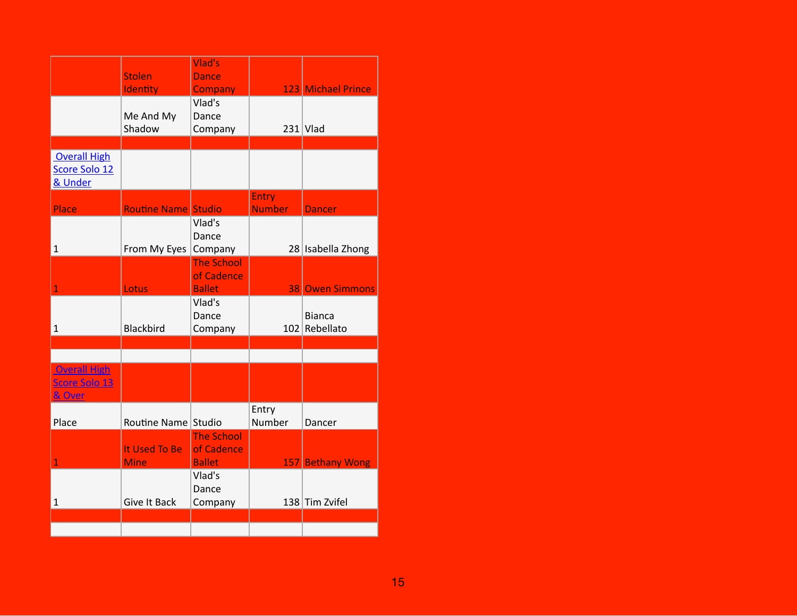|                                                 | <b>Stolen</b><br>Identity    | Vlad's<br><b>Dance</b><br>Company                |                               | 123 Michael Prince             |
|-------------------------------------------------|------------------------------|--------------------------------------------------|-------------------------------|--------------------------------|
|                                                 | Me And My<br>Shadow          | Vlad's<br>Dance<br>Company                       |                               | $231$ Vlad                     |
|                                                 |                              |                                                  |                               |                                |
| <b>Overall High</b><br>Score Solo 12<br>& Under |                              |                                                  |                               |                                |
| <b>Place</b>                                    | <b>Routine Name Studio</b>   |                                                  | <b>Entry</b><br><b>Number</b> | <b>Dancer</b>                  |
| $\mathbf 1$                                     | From My Eyes                 | Vlad's<br>Dance<br>Company                       |                               | 28 Isabella Zhong              |
| $\overline{1}$                                  | Lotus                        | <b>The School</b><br>of Cadence<br><b>Ballet</b> |                               | <b>38 Owen Simmons</b>         |
| $\mathbf{1}$                                    | <b>Blackbird</b>             | Vlad's<br>Dance<br>Company                       |                               | <b>Bianca</b><br>102 Rebellato |
|                                                 |                              |                                                  |                               |                                |
| <b>Overall High</b><br>Score Solo 13<br>& Over  |                              |                                                  |                               |                                |
| Place                                           | Routine Name Studio          |                                                  | Entry<br>Number               | Dancer                         |
| 1                                               | It Used To Be<br><b>Mine</b> | <b>The School</b><br>of Cadence<br><b>Ballet</b> |                               | 157 Bethany Wong               |
| $\mathbf{1}$                                    | <b>Give It Back</b>          | Vlad's<br>Dance<br>Company                       |                               | 138 Tim Zvifel                 |
|                                                 |                              |                                                  |                               |                                |